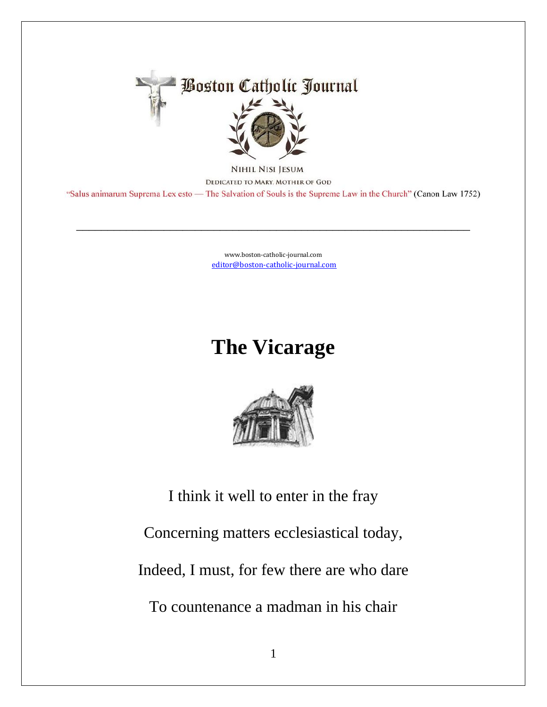

Nihil Nisi Jesum DEDICATED TO MARY, MOTHER OF GOD "Salus animarum Suprema Lex esto - The Salvation of Souls is the Supreme Law in the Church" (Canon Law 1752)

> [www.boston-catholic-journal.com](http://www.boston-catholic-journal.com/) [editor@boston-catholic-journal.com](mailto:editor@boston-catholic-journal.com)

\_\_\_\_\_\_\_\_\_\_\_\_\_\_\_\_\_\_\_\_\_\_\_\_\_\_\_\_\_\_\_\_\_\_\_\_\_\_\_\_\_\_\_\_\_\_\_\_\_\_\_\_\_\_\_\_\_\_\_\_\_\_\_

## **The Vicarage**



I think it well to enter in the fray Concerning matters ecclesiastical today, Indeed, I must, for few there are who dare To countenance a madman in his chair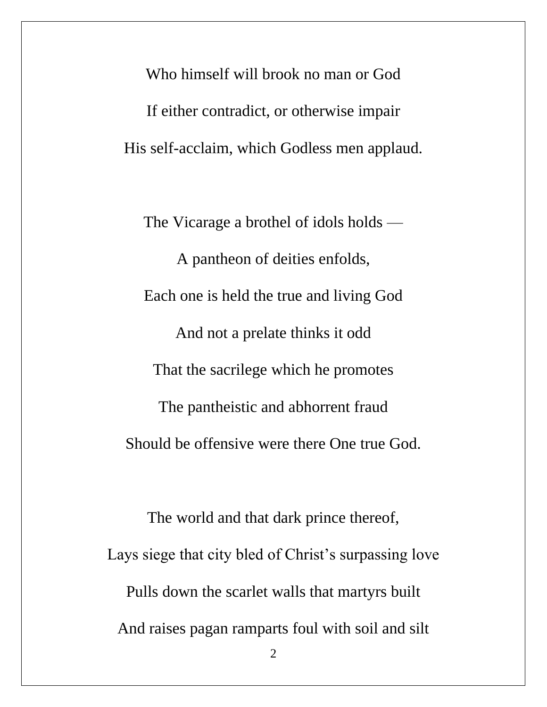Who himself will brook no man or God If either contradict, or otherwise impair His self-acclaim, which Godless men applaud.

The Vicarage a brothel of idols holds — A pantheon of deities enfolds, Each one is held the true and living God And not a prelate thinks it odd That the sacrilege which he promotes The pantheistic and abhorrent fraud Should be offensive were there One true God.

The world and that dark prince thereof, Lays siege that city bled of Christ's surpassing love Pulls down the scarlet walls that martyrs built And raises pagan ramparts foul with soil and silt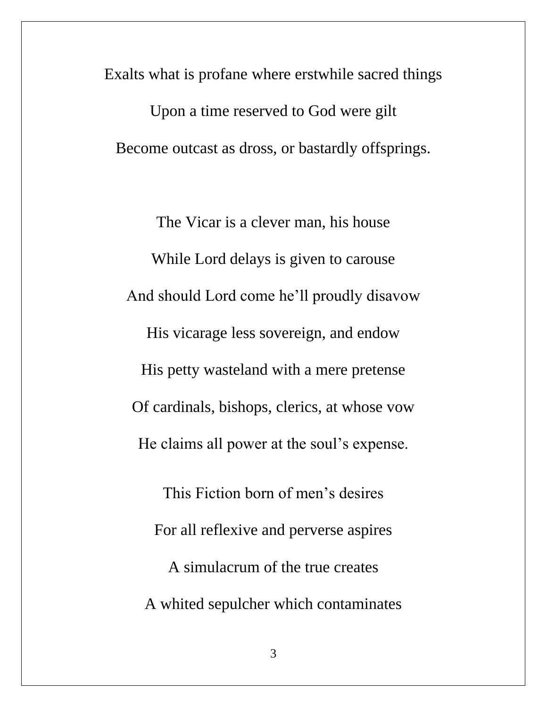Exalts what is profane where erstwhile sacred things Upon a time reserved to God were gilt Become outcast as dross, or bastardly offsprings.

The Vicar is a clever man, his house While Lord delays is given to carouse And should Lord come he'll proudly disavow His vicarage less sovereign, and endow His petty wasteland with a mere pretense Of cardinals, bishops, clerics, at whose vow He claims all power at the soul's expense.

This Fiction born of men's desires For all reflexive and perverse aspires A simulacrum of the true creates A whited sepulcher which contaminates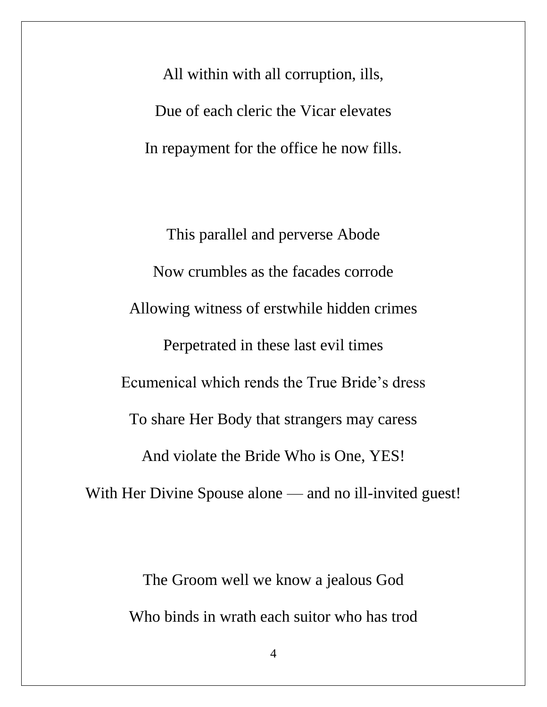All within with all corruption, ills, Due of each cleric the Vicar elevates In repayment for the office he now fills.

This parallel and perverse Abode Now crumbles as the facades corrode Allowing witness of erstwhile hidden crimes Perpetrated in these last evil times Ecumenical which rends the True Bride's dress To share Her Body that strangers may caress And violate the Bride Who is One, YES! With Her Divine Spouse alone — and no ill-invited guest!

> The Groom well we know a jealous God Who binds in wrath each suitor who has trod